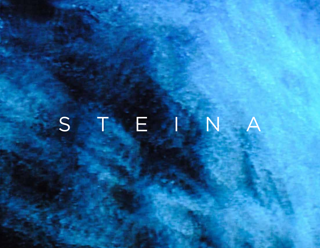# STEINA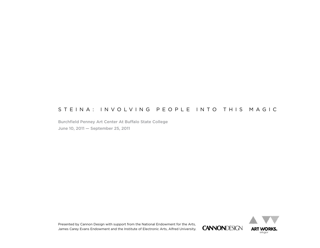# S T E I N A : IN V O L V I N G P E O P L E I N T O T H I S M A G I C

Burchfield Penney Art Center At Buffalo State College June 10, 2011 — September 25, 2011





Presented by Cannon Design with support from the National Endowment for the Arts, James Carey Evans Endowment and the Institute of Electronic Arts, Alfred University.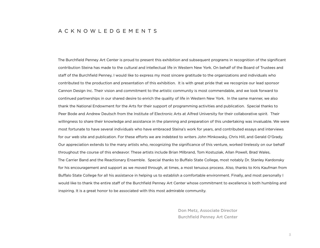# A c kn o w l ed g ements

The Burchfield Penney Art Center is proud to present this exhibition and subsequent programs in recognition of the significant contribution Steina has made to the cultural and intellectual life in Western New York. On behalf of the Board of Trustees and staff of the Burchfield Penney, I would like to express my most sincere gratitude to the organizations and individuals who contributed to the production and presentation of this exhibition. It is with great pride that we recognize our lead sponsor Cannon Design Inc. Their vision and commitment to the artistic community is most commendable, and we look forward to continued partnerships in our shared desire to enrich the quality of life in Western New York. In the same manner, we also thank the National Endowment for the Arts for their support of programming activities and publication. Special thanks to Peer Bode and Andrew Deutsch from the Institute of Electronic Arts at Alfred University for their collaborative spirit. Their willingness to share their knowledge and assistance in the planning and preparation of this undertaking was invaluable. We were most fortunate to have several individuals who have embraced Steina's work for years, and contributed essays and interviews for our web site and publication. For these efforts we are indebted to writers John Minkowsky, Chris Hill, and Gerald O'Grady. Our appreciation extends to the many artists who, recognizing the significance of this venture, worked tirelessly on our behalf throughout the course of this endeavor. These artists include Brian Milbrand, Tom Kostuziak, Allan Powell, Brad Wales, The Carrier Band and the Reactionary Ensemble. Special thanks to Buffalo State College, most notably Dr. Stanley Kardonsky for his encouragement and support as we moved through, at times, a most tenuous process. Also, thanks to Kris Kaufman from Buffalo State College for all his assistance in helping us to establish a comfortable environment. Finally, and most personally I would like to thank the entire staff of the Burchfield Penney Art Center whose commitment to excellence is both humbling and inspiring. It is a great honor to be associated with this most admirable community.

> Don Metz, Associate Director Burchfield Penney Art Center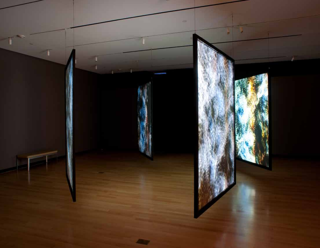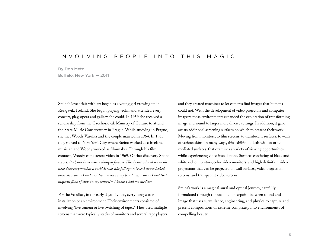# I N V O L V I N G P E O P L E I N T O T H I S M A G I C

By Don Metz Buffalo, New York — 2011

Steina's love affair with art began as a young girl growing up in Reykjavik, Iceland. She began playing violin and attended every concert, play, opera and gallery she could. In 1959 she received a scholarship from the Czechoslovak Ministry of Culture to attend the State Music Conservatory in Prague. While studying in Prague, she met Woody Vasulka and the couple married in 1964. In 1965 they moved to New York City where Steina worked as a freelance musician and Woody worked as filmmaker. Through his film contacts, Woody came across video in 1969. Of that discovery Steina states: *Both our lives where changed forever. Woody introduced me to his new discovery – what a rush! It was like falling in love; I never looked back. As soon as I had a video camera in my hand – as soon as I had that majestic flow of time in my control – I knew I had my medium.* 

For the Vasulkas, in the early days of video, everything was an installation or an environment. Their environments consisted of involving "live camera or live switching of tapes." They used multiple screens that were typically stacks of monitors and several tape players and they created machines to let cameras find images that humans could not. With the development of video projectors and computer imagery, these environments expanded the exploration of transforming image and sound to larger more diverse settings. In addition, it gave artists additional screening surfaces on which to present their work. Moving from monitors, to film screens, to translucent surfaces, to walls of various skins. In many ways, this exhibition deals with assorted mediated surfaces, that examines a variety of viewing opportunities while experiencing video installations. Surfaces consisting of black and white video monitors, color video monitors, and high definition video projections that can be projected on wall surfaces, video projection screens, and transparent video screens.

Steina's work is a magical aural and optical journey, carefully formulated through the use of counterpoint between sound and image that uses surveillance, engineering, and physics to capture and present compositions of extreme complexity into environments of compelling beauty.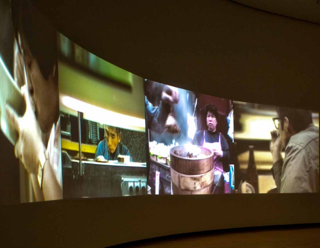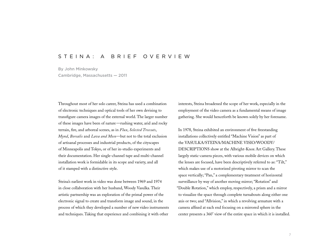# S T E I N A : A B R I E F O V E R V I E W

By John Minkowsky Cambridge, Massachusetts — 2011

Throughout most of her solo career, Steina has used a combination of electronic techniques and optical tools of her own devising to transfigure camera images of the external world. The larger number of these images have been of nature—rushing water, arid and rocky terrain, fire, and arboreal scenes, as in *Flux*, *Selected Treecuts*, *Mynd*, *Borealis* and *Lava and Mos*s—but not to the total exclusion of artisanal processes and industrial products, of the cityscapes of Minneapolis and Tokyo, or of her in-studio experiments and their documentation. Her single-channel tape and multi-channel installation work is formidable in its scope and variety, and all of it stamped with a distinctive style.

Steina's earliest work in video was done between 1969 and 1974 in close collaboration with her husband, Woody Vasulka. Their artistic partnership was an exploration of the primal power of the electronic signal to create and transform image and sound, in the process of which they developed a number of new video instruments and techniques. Taking that experience and combining it with other

interests, Steina broadened the scope of her work, especially in the employment of the video camera as a fundamental means of image gathering. She would henceforth be known solely by her forename.

In 1978, Steina exhibited an environment of five freestanding installations collectively entitled "Machine Vision" as part of the VASULKA/STEINA/MACHINE VISIO/WOODY/ DESCRIPTIONS show at the Albright-Knox Art Gallery. These largely static-camera pieces, with various mobile devices on which the lenses are focused, have been descriptively referred to as: "Tilt," which makes use of a motorized pivoting mirror to scan the space vertically; "Pan," a complementary treatment of horizontal surveillance by way of another moving mirror; "Rotation" and "Double Rotation," which employ, respectively, a prism and a mirror to visualize the space through complete turnabouts along either one axis or two; and "Allvision," in which a revolving armature with a camera affixed at each end focusing on a mirrored sphere in the center presents a 360° view of the entire space in which it is installed.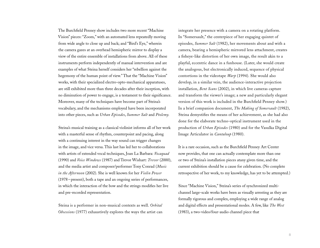The Burchfield Penney show includes two more recent "Machine Vision" pieces: "Zoom," with an automated lens repeatedly moving from wide angle to close up and back; and "Bird's Eye," wherein the camera gazes at an overhead hemispheric mirror to display a view of the entire ensemble of installations from above. All of these instruments perform independently of manual intervention and are examples of what Steina herself considers her "rebellion against the hegemony of the human point of view." That the "Machine Vision" works, with their specialized electro-opto-mechanical apparatuses, are still exhibited more than three decades after their inception, with no diminution of power to engage, is a testament to their significance. Moreover, many of the techniques have become part of Steina's vocabulary, and the mechanisms employed have been incorporated into other pieces, such as *Urban Episodes*, *Summer Salt* and *Ptolemy.* 

Steina's musical training as a classical violinist informs all of her work with a masterful sense of rhythm, counterpoint and pacing, along with a continuing interest in the way sound can trigger changes in the image, and vice versa. This last has led her to collaborations with artists of extended vocal techniques, Joan La Barbara: *Vocaquad* (1990) and *Voice Windows* (1987) and Trevor Wishart: *Trevor* (2000), and the media artist and composer/performer Tony Conrad (*Music in the Afternoon* (2002). She is well known for her *Violin Power* (1978 – present), both a tape and an ongoing series of performances, in which the interaction of the bow and the strings modifies her live and pre-recorded representation.

Steina is a performer in non-musical contexts as well. *Orbital Obsessions* (1977) exhaustively explores the ways the artist can integrate her presence with a camera on a rotating platform. In "Somersault," the centerpiece of her engaging quintet of episodes, *Summer Salt* (1982), her movements about and with a camera, bearing a hemispheric mirrored lens attachment, creates a fisheye-like distortion of her own image, the result akin to a playful, eccentric dance in a funhouse. (Later, she would create the analogous, but electronically induced, sequence of physical contortions in the videotape *Warp* (1994). She would also develop, in a similar vein, the audience-interactive projection installation, *Bent Scans* (2002), in which live cameras capture and transform the viewer's image; a new and particularly elegant version of this work is included in the Burchfield Penney show.) In a brief companion document, *The Making of Somersault* (1982), Steina demystifies the means of her achievement, as she had also done for the elaborate techno-optical instrument used in the production of *Urban Episodes* (1980) and for the Vasulka Digital Image Articulator in *Cantaloup* (1980).

It is a rare occasion, such as the Burchfield Penney Art Center now provides, that one can actually contemplate more than one or two of Steina's installation pieces atany given time, and the current exhibition should be a cause for celebration. (No complete retrospective of her work, to my knowledge, has yet to be attempted.)

Since "Machine Vision," Steina's series of synchronized multichannel large-scale works have been as visually arresting as they are formally rigorous and complex, employing a wide range of analog and digital effects and presentational modes. A few, like *The West* (1983), a two-video/four-audio channel piece that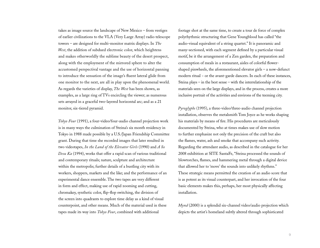takes as image source the landscape of New Mexico – from vestiges of earlier civilizations to the VLA (Very Large Array) radio telescope towers – are designed for multi-monitor matrix displays. In *The West*, the addition of subdued electronic color, which heightens and makes otherworldly the sublime beauty of the desert prospect, along with the employment of the mirrored sphere to alter the accustomed perspectival vantage and the use of horizontal panning to introduce the sensation of the image's fluent lateral glide from one monitor to the next, are all in play upon the phenomenal world. As regards the varieties of display, *The West* has been shown, as examples, as a large ring of TVs encircling the viewer; as numerous sets arrayed in a graceful two-layered horizontal arc; and as a 21 monitor, six-tiered pyramid.

*Tokyo Four* (1991), a four-video/four-audio channel projection work is in many ways the culmination of Steina's six month residency in Tokyo in 1988 made possible by a U.S./Japan Friendship Committee grant. During that time she recorded images that later resulted in two videotapes, *In the Land of the Elevator Girls* (1990) and *A So Desu Ka* (1994), works that offer a rapid scan of various traditional and contemporary rituals; nature, sculpture and architecture within the metropolis; further details of a bustling city with its workers, shoppers, markets and the like; and the performance of an experimental dance ensemble. The two tapes are very different in form and effect, making use of rapid zooming and cutting, chromakey, synthetic color, flip-flop switching, the division of the screen into quadrants to explore time delay as a kind of visual counterpoint, and other means. Much of the material used in these tapes made its way into *Tokyo Four*, combined with additional

footage shot at the same time, to create a tour de force of complex polyrhythmic structuring that Gene Youngblood has called "the audio-visual equivalent of a string quartet." It is panoramic and many-sectioned, with each segment defined by a particular visual motif, be it the arrangement of a Zen garden, the preparation and consumption of meals in a restaurant, aisles of colorful flowershaped pinwheels, the aforementioned elevator girls – a now-defunct modern ritual − or the avant-garde dancers. In each of these instances, Steina plays – in the best sense – with the interrelationship of the materials seen on the large displays, and in the process, creates a more inclusive portrait of the activities and environs of the teeming city.

*Pyroglyphs* (1995), a three-video/three-audio channel projection installation, observes the metalsmith Tom Joyce as he works shaping his materials by means of fire. His procedures are meticulously documented by Steina, who at times makes use of slow motion to further emphasize not only the precision of the craft but also the flames, water, ash and smoke that accompany such activity. Regarding the attendant audio, as described in the catalogue for her 2008 exhibition at SITE SantaFe, "Steina processed the sounds of blowtorches, flames, and hammering metal through a digital device that allowed her to 'move' the sounds into unlikely rhythms." These strategic means permitted the creation of an audio score that is as potent as its visual counterpart, and her invocation of the four basic elements makes this, perhaps, her most physically affecting installation.

*Mynd* (2000) is a splendid six-channel video/audio projection which depicts the artist's homeland subtly altered through sophisticated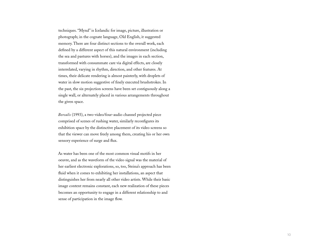techniques. "Mynd" is Icelandic for image, picture, illustration or photograph; in the cognate language, Old English, it suggested memory. There are four distinct sections to the overall work, each defined by a different aspect of this natural environment (including the sea and pastures with horses), and the images in each section, transformed with consummate care via digital effects, are closely interrelated, varying in rhythm, direction, and other features. At times, their delicate rendering is almost painterly, with droplets of water in slow motion suggestive of finely executed brushstrokes. In the past, the six projection screens have been set contiguously along a single wall, or alternately placed in various arrangements throughout the given space.

*Borealis* (1993), a two-video/four-audio channel projected piece comprised of scenes of rushing water, similarly reconfigures its exhibition space by the distinctive placement of its video screens so that the viewer can move freely among them, creating his or her own sensory experience of surge and flux.

As water has been one of the most common visual motifs in her oeuvre, and as the waveform of the video signal was the material of her earliest electronic explorations, so, too, Steina's approach has been fluid when it comes to exhibiting her installations, an aspect that distinguishes her from nearly all other video artists. While their basic image content remains constant, each new realization of these pieces becomes an opportunity to engage in a different relationship to and sense of participation in the image flow.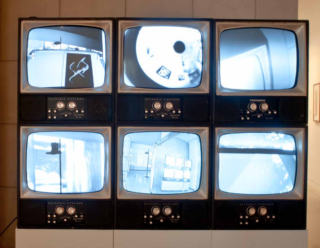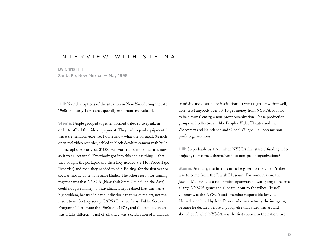# I nter v iew wit h S teina

By Chris Hill Santa Fe, New Mexico — May 1995

Hill: Your descriptions of the situation in New York during the late 1960s and early 1970s are especially important and valuable...

Steina: People grouped together, formed tribes so to speak, in order to afford the video equipment. They had to pool equipment; it was a tremendous expense. I don't know what the portapak (½ inch open reel video recorder, cabled to black & white camera with built in microphone) cost, but \$1000 was worth a lot more that it is now, so it was substantial. Everybody got into this endless thing—that they bought the portapak and then they needed a VTR (Video Tape Recorder) and then they needed to edit. Editing, for the first year or so, was mostly done with razor blades. The other reason for coming together was that NYSCA (New York State Council on the Arts) could not give money to individuals. They realized that this was a big problem, because it is the individuals that make the art, not the institutions. So they set up CAPS (Creative Artist Public Service Program). These were the 1960s and 1970s, and the outlook on art was totally different. First of all, there was a celebration of individual creativity and distaste for institutions. It went together with—well, don't trust anybody over 30. To get money from NYSCA you had to be a formal entity, a non-profit organization. These production groups and collectives— like People's Video Theater and the Videofreex and Raindance and Global Village—all became nonprofit organizations.

Hill: So probably by 1971, when NYSCA first started funding video projects, they turned themselves into non-profit organizations?

Steina: Actually, the first grant to be given to the video "tribes" was to come from the Jewish Museum. For some reason, the Jewish Museum, as a non-profit organization, was going to receive a large NYSCA grant and allocate it out to the tribes. Russell Connor was the NYSCA staff member responsible for video. He had been hired by Ken Dewey, who was actually the instigator, because he decided before anybody else that video was art and should be funded. NYSCA was the first council in the nation, two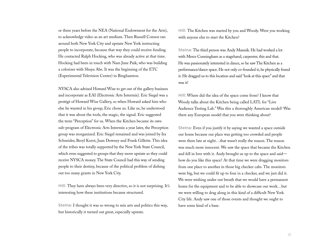or three years before the NEA (National Endowment for the Arts), to acknowledge video as an art medium. Then Russell Connor ran around both New York City and upstate New York instructing people to incorporate, because that way they could receive funding. He contacted Ralph Hocking, who was already active at that time. Hocking had been in touch with Nam June Paik, who was building a colorizer with Shuya Abe. It was the beginning of the ETC (Experimental Television Center) in Binghamton.

NYSCA also advised Howard Wise to get out of the gallery business and incorporate as EAI (Electronic Arts Intermix). Eric Siegel was a protégé of Howard Wise Gallery, so when Howard asked him who else he wanted in his group, Eric chose us. Like us, he understood that it was about the tools, the magic, the signal. Eric suggested the term "Perception" for us. When the Kitchen became its own sub-program of Electronic Arts Intermix a year later, the Perception group was reorganized. Eric Siegel remained and was joined by Ira Schneider, Beryl Korot, Juan Downey and Frank Gillette. This idea of the tribes was totally supported by the New York State Council, which even suggested to groups that they move upstate so they could receive NYSCA money. The State Council had this way of sending people to their destiny, because of the political problem of dishing out too many grants in New York City.

Hill: They have always been very directive, so it is not surprising. It's interesting how these institutions became structured.

Steina: I thought it was so wrong to mix arts and politics this way, but historically it turned out great, especially upstate.

Hill: The Kitchen was started by you and Woody. Were you working with anyone else to start the Kitchen?

Steina: The third person was Andy Mannik. He had worked a lot with Merce Cunningham as a stagehand, carpenter, this and that. He was passionately interested in dance, so he saw The Kitchen as a performance/dance space. He not only co-founded it, he physically found it. He dragged us to this location and said "look at this space" and that was it!

Hill: Where did the idea of the space come from? I know that Woody talks about the Kitchen being called LATL for "Live Audience Testing Lab." Was this a thoroughly American model? Was there any European model that you were thinking about?

Steina: Even if you justify it by saying we wanted a space outside our home because our place was getting too crowded and people were there late at night…that wasn't really the reason. The reason was much more innocent. We saw the space that became the Kitchen and fell in love with it. Andy brought us up to the space and said how do you like this space? At that time we were dragging monitors from one place to another in those big checker cabs. The monitors were big, but we could fit up to four in a checker, and we just did it. We were wishing under out breath that we would have a permanent home for the equipment and to be able to showcase our work…but we were willing to drag along in this kind of a difficult New York City life. Andy saw one of those events and thought we ought to have some kind of a base.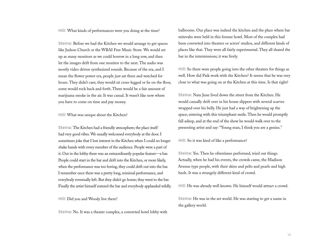Hill: What kinds of performances were you doing at the time?

Steina: Before we had the Kitchen we would arrange to get spaces like Judson Church or the WBAI Free Music Store. We would set up as many monitors as we could borrow in a long row, and then let the images drift from one monitor to the next. The audio was mostly video driven synthesized sounds. Because of the era, and I mean the flower power era, people just sat there and watched for hours. They didn't care; they would sit cross-legged or lie on the floor, some would rock back and forth. There would be a fair amount of marijuana smoke in the air. It was casual. It wasn't like now where you have to come on time and pay money.

Hill: What was unique about the Kitchen?

Steina: The Kitchen had a friendly atmosphere; the place itself had very good vibes. We usually welcomed everybody at the door. I sometimes joke that I lost interest in the Kitchen when I could no longer shake hands with every member of the audience. People were a part of it. Out in the lobby there was an extraordinarily popular feature—a bar. People could start in the bar and drift into the Kitchen, or more likely, when the performance was too boring, they could drift out into the bar. I remember once there was a pretty long, minimal performance, and everybody eventually left. But they didn't go home; they went to the bar. Finally the artist himself entered the bar and everybody applauded wildly.

Hill: Did you and Woody live there?

Steina: No. It was a theater complex, a converted hotel lobby with

ballrooms. Our place was indeed the kitchen and the place where bar mitzvahs were held in this former hotel. Most of the complex had been converted into theaters or actors' studios, and different kinds of places like that. They were all fairly experimental. They all shared the bar in the intermissions; it was lively.

Hill: So there were people going into the other theaters for things as well. How did Paik work with the Kitchen? It seems that he was very close to what was going on at the Kitchen at this time. Is that right?

Steina: Nam June lived down the street from the Kitchen. He would casually drift over in his house slippers with several scarves wrapped over his belly. He just had a way of brightening up the space, entering with this triumphant smile. Then he would promptly fall asleep, and at the end of the show he would walk over to the presenting artist and say: "Young man, I think you are a genius."

Hill: So it was kind of like a performance?

Steina: Yes. Then he oftentimes performed, tried out things. Actually, when he had his events, the crowds came, the Madison Avenue type people, with their skins and pelts and pearls and high heels. It was a strangely different kind of crowd.

Hill: He was already well known. He himself would attract a crowd.

Steina: He was in the art world. He was starting to get a name in the gallery world.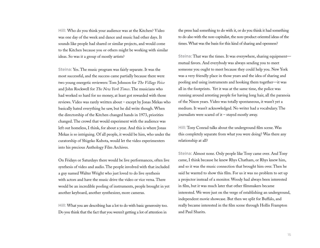Hill: Who do you think your audience was at the Kitchen? Video was one day of the week and dance and music had other days. It sounds like people had shared or similar projects, and would come to the Kitchen because you or others might be working with similar ideas. So was it a group of mostly artists?

Steina: Yes. The music program was fairly separate. It was the most successful, and the success came partially because there were two young energetic reviewers: Tom Johnson for *The Village Voice* and John Rockwell for *The New York Times*. The musicians who had worked so hard for no money, at least got rewarded with those reviews. Video was rarely written about – except by Jonas Mekas who basically hated everything he saw, but he did write though. When the directorship of the Kitchen changed hands in 1973, priorities changed. The crowd that would experiment with the audience was left out homeless, I think, for about a year. And this is where Jonas Mekas is so intriguing. Of all people, it would be him, who under the curatorship of Shigeko Kubota, would let the video experimenters into his precious Anthology Film Archives.

On Fridays or Saturdays there would be live performances, often live synthesis of video and audio. The people involved with that included a guy named Walter Wright who just loved to do live synthesis with actors and have the music drive the video or vice versa. There would be an incredible pooling of instruments, people brought in yet another keyboard, another synthesizer, more cameras.

Hill: What you are describing has a lot to do with basic generosity too. Do you think that the fact that you weren't getting a lot of attention in

the press had something to do with it, or do you think it had something to do also with the non-capitalist, the non-product oriented ideas of the times. What was the basis for this kind of sharing and openness?

Steina: That was the times. It was everywhere, sharing equipment mutual favors. And everybody was always sending you to meet someone you ought to meet because they could help you. New York was a very friendly place in those years and the idea of sharing and pooling and using instruments and hooking them together—it was all in the footprints. Yet it was at the same time, the police was running around arresting people for having long hair, all the paranoia of the Nixon years. Video was totally spontaneous, it wasn't yet a medium. It wasn't acknowledged. No writer had a vocabulary. The journalists were scared of it – stayed mostly away.

Hill: Tony Conrad talks about the underground film scene. Was this completely separate from what you were doing? Was there any relationship at all?

Steina: Almost none. Only people like Tony came over. And Tony came, I think because he knew Rhys Chatham, or Rhys knew him, and so it was the music connection that brought him over. Then he said he wanted to show this film. For us it was no problem to set up a projector instead of a monitor. Woody had always been interested in film, but it was much later that other filmmakers became interested. We were just on the verge of establishing an underground, independent movie showcase. But then we split for Buffalo, and really became interested in the film scene through Hollis Frampton and Paul Sharits.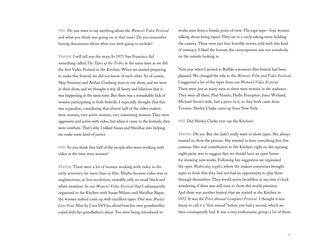Hill: Do you want to say anything about the *Women's Video Festival* and what you think was going on at that time? Do you remember having discussions about what you were going to include?

Steina: I will tell you the story. In 1971 San Francisco did something called *The Tapes of the Tribes* at the same time as we did the first Video Festival in the Kitchen. When we started preparing to make this festival, we did not know of each other. So of course, Skip Sweeney and Arthur Ginsberg were in our show, and we were in their show, and we thought it was all funny and hilarious that it was happening at the same time. But there was a remarkable lack of women participating in both festivals. I especially thought that this was a paradox, considering that almost half of the video makers were women, very active women, very interesting women. They were aggressive and active with video, but when it came to the festivals, they were nowhere. That's why I talked Susan and Shridhar into helping me make some kind of justice.

Hill: So you think that half of the people who were working with video at the time were women?

Steina: There were a lot of women working with video in the early seventies, far more than in film. Maybe because video was so unglamorous, so low resolution, viewable only on small black and white monitors. In our *Women's Video Festival* that I subsequently organized in the Kitchen with Susan Milano and Shridhar Bapat, the women indeed came up with excellent tapes. One was *Always Love Your Man* by Cara DeVito, about how her own grandmother coped with her grandfather's abuse. You were being introduced to

works seen from a female point of view. The rape tape—four women talking about being raped. They sat in a circle taking turns holding the camera. These were just four horrible stories, told with this kind of intimacy. I liked the format; the cameraperson was not somebody on the outside looking in.

Next year when I arrived in Buffalo a women's film festival had been planned. We changed the title to the *Women's Film and Video Festival.*  I suggested a lot of the tapes from our *Women's Video Festival.* There were just as many men as there were women in the audience. They were all there, Paul Sharits, Hollis Frampton. Joyce Wieland, Michael Snow's wife, had a piece in it, so they both came from Toronto. Shirley Clarke came up from New York.

Hill: Did Shirley Clarke ever use the Kitchen?

Steina: Oh yes. But she didn't really want to show tapes. She always wanted to show the process. She wanted to have everything live, live cameras. Her real contribution to the Kitchen, right on the opening night party, was to suggest that we should have an open house for showing new works. Following her suggestion we organized the open *Wednesday nights*, where the makers sometimes brought tapes so fresh that they had not had an opportunity to play them through themselves. They would arrive breathless at say nine o'clock wondering if there was still time to show this world premiere. And there was another festival that we started at the Kitchen in 1972. It was the *First Annual Computer Festival.* I thought it was funny to call it a "first annual" before you had a second, which we then consequently had. It was a very enthusiastic group; a lot of them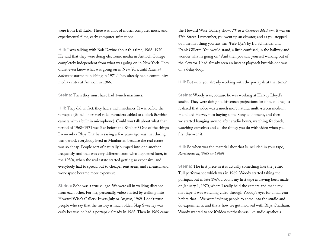were from Bell Labs. There was a lot of music, computer music and experimental films, early computer animations.

Hill: I was talking with Bob Devine about this time, 1968–1970. He said that they were doing electronic media in Antioch College completely independent from what was going on in New York. They didn't even know what was going on in New York until *Radical Software* started publishing in 1971. They already had a community media center at Antioch in 1966.

Steina: Then they must have had 1-inch machines.

Hill: They did; in fact, they had 2 inch machines. It was before the portapak (½ inch open reel video recorders cabled to a black & white camera with a built in microphone). Could you talk about what that period of 1968–1971 was like before the Kitchen? One of the things I remember Rhys Chatham saying a few years ago was that during this period, everybody lived in Manhattan because the real estate was so cheap. People sort of naturally bumped into one another frequently, and that was very different from what happened later, in the 1980s, when the real estate started getting so expensive, and everybody had to spread out to cheaper rent areas, and rehearsal and work space became more expensive.

Steina: Soho was a true village. We were all in walking distance from each other. For me, personally, video started by walking into Howard Wise's Gallery. It was July or August, 1969. I don't trust people who say that the history is much older. Skip Sweeney was early because he had a portapak already in 1968. Then in 1969 came the Howard Wise Gallery show, *TV as a Creative Medium*. It was on 57th Street. I remember, you went up an elevator, and as you stepped out, the first thing you saw was *Wipe Cycle* by Ira Schneider and Frank Gillette. You would stand, a little confused, in the hallway and wonder what is going on? And then you saw yourself walking out of the elevator. I had already seen an instant playback but this one was on a delay-loop.

Hill: But were you already working with the portapak at that time?

Steina: Woody was, because he was working at Harvey Lloyd's studio. They were doing multi-screen projections for film, and he just realized that video was a much more natural multi-screen medium. He talked Harvey into buying some Sony equipment, and then we started hanging around after studio hours, watching feedback, watching ourselves and all the things you do with video when you first discover it.

Hill: So when was the material shot that is included in your tape, *Participation*, 1968 or 1969?

Steina: The first piece in it is actually something like the Jethro Tull performance which was in 1969. Woody started taking the portapak out in late 1969. I count my first tape as having been made on January 1, 1970, where I really held the camera and made my first tape. I was watching video through Woody's eyes for a half year before that…We were inviting people to come into the studio and do experiments, and that's how we got involved with Rhys Chatham. Woody wanted to see if video synthesis was like audio synthesis.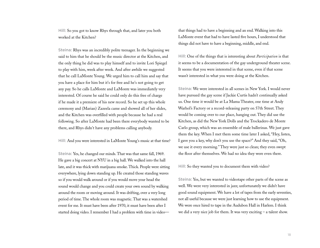Hill: So you got to know Rhys through that, and later you both worked at the Kitchen?

Steina: Rhys was an incredibly polite teenager. In the beginning we said to him that he should be the music director at the Kitchen, and the only thing he did was to play himself and to invite Lori Spiegel to play with him, week after week. And after awhile we suggested that he call LaMonte Young. We urged him to call him and say that you have a place for him but it's for free and he's not going to get any pay. So he calls LaMonte and LaMonte was immediately very interested. Of course he said he could only do this free of charge if he made it a premiere of his new record. So he set up this whole ceremony and (Marian) Zazeela came and showed all of her slides, and the Kitchen was overfilled with people because he had a real following. So after LaMonte had been there everybody wanted to be there, and Rhys didn't have any problems calling anybody.

Hill: And you were interested in LaMonte Young's music at that time?

Steina: Yes, he changed our minds. That was that same fall, 1969. He gave a big concert at NYU in a big hall. We walked into the hall late, and it was thick with marijuana smoke. Thick. People were sitting everywhere, lying down standing up. He created those standing waves so if you would walk around or if you would move your head the sound would change and you could create your own sound by walking around the room or moving around. It was drifting, over a very long period of time. The whole room was magnetic. That was a watershed event for me. It must have been after 1970, it must have been after I started doing video. I remember I had a problem with time in video—

that things had to have a beginning and an end. Walking into this LaMonte event that had to have lasted five hours, I understood that things did not have to have a beginning, middle, and end.

Hill: One of the things that is interesting about *Participation* is that it seems to be a documentation of the gay underground theater scene. It seems that you were interested in that scene, even if that scene wasn't interested in what you were doing at the Kitchen.

Steina: We were interested in all scenes in New York. I would never have pursued the gay scene if Jackie Curtis hadn't continually asked us. One time it would be at La Mama Theater, one time at Andy Warhol's Factory or a record-releasing party on 57th Street. They would be coming over to our place, hanging out. They did use the Kitchen, as did the New York Dolls and the Trockadero de Monte Carlo group, which was an ensemble of male ballerinas. We just gave them the key. When I met them some time later I asked, "Hey, listen, I gave you a key, why don't you use the space?" And they said, "Oh, we use it every morning." They were just so clean; they even swept the floor after themselves. We had no idea they were even there.

Hill: So they wanted you to document them with video?

Steina: Yes, but we wanted to videotape other parts of the scene as well. We were very interested in jazz; unfortunately we didn't have good sound equipment. We have a lot of tapes from the early seventies, not all useful because we were just learning how to use the equipment. We were once hired to tape in the Audubon Hall in Harlem. I think we did a very nice job for them. It was very exciting – a talent show.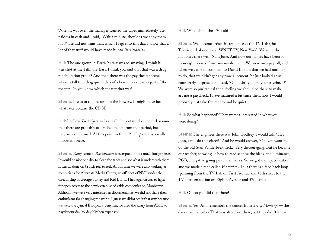When it was over, the manager wanted the tapes immediately. He paid us in cash and I said, "Wait a minute, shouldn't we copy them first?" He did not want that, which I regret to this day. I know that a lot of that stuff would have made it into *Participation*.

Hill: The one group in *Participation* was so amazing. I think it was shot at the Fillmore East. I think you said that that was a drug rehabilitation group? And then there was the gay theater scene, where a tall thin drag queen dies of a heroin overdose as part of the theater. Do you know which theater that was?

Steina: It was in a storefront on the Bowery. It might have been what later became the CBGB.

Hill: I believe *Participation* is a really important document. I assume that there are probably other documents from that period, but they are not cleaned. At this point in time, *Participation* is a really important piece.

Steina: Every scene in *Participation* is excerpted from a much longer piece. It would be nice one day to clean the tapes and see what is underneath there. It was all done on ½ inch reel to reel. At this time we were also working as technicians for Alternate Media Center, an offshoot of NYU under the directorship of George Stoney and Red Burns. Their agenda was to fight for open access to the newly established cable companies on Manhattan. Although we were very interested in documentaries, we did not share their enthusiasm for changing the world. I guess we didn't see it that way because we were the cynical Europeans. Anyway, we used the salary from AMC to pay for our day-to-day Kitchen expenses.

Hill: What about the TV Lab?

Steina: We became artists-in-residence at the TV Lab (the Television Laboratory at WNET-TV, New York). We were the first ones there with Nam June. And now our names have been so thoroughly erased from any involvement. We were on a payroll, and when we came to complain to David Loxton that we had nothing to do, that we didn't get any time allotment, he just looked at us, completely surprised, and said, "Oh, didn't you get your paycheck?" We were so puritanical then, feeling we should be there to make art not a paycheck. I have matured a bit since then, now I would probably just take the money and be quiet.

Hill: So what happened? They weren't interested in what you were doing?

Steina: The engineer there was John Godfrey. I would ask, "Hey John, can I do this effect?" And he would answer, "Oh, you want to do the old Stan Vanderbeek trick." Very discouraging. But he became our teacher, showing us how to read scopes; the black, the luminance, RGB, a negative going pulse, the works. So we got money, education and we made a tape called *Vocabulary*. In it there is a feed back loop spanning from the TV Lab on First Avenue and 46th street to the TV-thirteen station on Eighth Avenue and 57th street.

### Hill: Oh, so you did that there?

Steina: Yes. And remember the dancer from Art of Memory?- the dancer in the cube? That was also done there, but they didn't know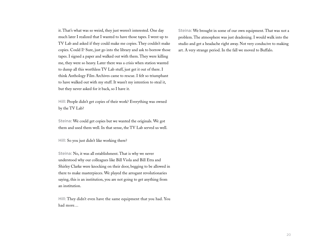it. That's what was so weird, they just weren't interested. One day much later I realized that I wanted to have those tapes. I went up to TV Lab and asked if they could make me copies. They couldn't make copies. Could I? Sure, just go into the library and ask to borrow those tapes. I signed a paper and walked out with them. They were killing me, they were so heavy. Later there was a crisis when station wanted to dump all this worthless TV Lab stuff, just get it out of there. I think Anthology Film Archives came to rescue. I felt so triumphant to have walked out with my stuff. It wasn't my intention to steal it, but they never asked for it back, so I have it.

Hill: People didn't get copies of their work? Everything was owned by the TV Lab?

Steina: We could get copies but we wanted the originals. We got them and used them well. In that sense, the TV Lab served us well.

Hill: So you just didn't like working there?

Steina: No, it was all establishment. That is why we never understood why our colleagues like Bill Viola and Bill Etra and Shirley Clarke were knocking on their door, begging to be allowed in there to make masterpieces. We played the arrogant revolutionaries saying, this is an institution, you are not going to get anything from an institution.

Hill: They didn't even have the same equipment that you had. You had more…

Steina: We brought in some of our own equipment. That was not a problem. The atmosphere was just deadening. I would walk into the studio and get a headache right away. Not very conducive to making art. A very strange period. In the fall we moved to Buffalo.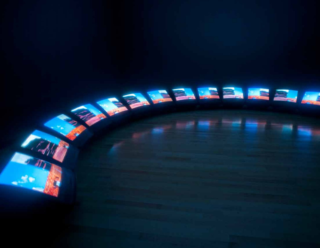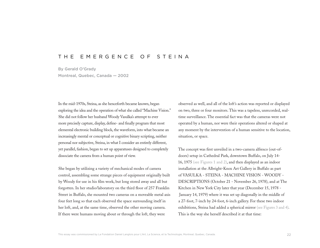# THE EMERGENCE OF STEINA

By Gerald O'Grady Montreal, Quebec, Canada — 2002

In the mid-1970s, Steina, as she henceforth became known, began exploring the idea and the operation of what she called "Machine Vision." She did not follow her husband Woody Vasulka's attempt to ever more precisely capture, display, define- and finally program that most elemental electronic building block, the waveform, into what became an increasingly mental or conceptual or cognitive binary scripting, neither personal nor subjective, Steina, in what I consider an entirely different, yet parallel, fashion, began to set up apparatuses designed to completely dissociate the camera from a human point of view.

She began by utilizing a variety of mechanical modes of camera control, assembling some strange pieces of equipment originally built by Woody for use in his film work, but long stored away and all but forgotten. In her studio/laboratory on the third floor of 257 Franklin Street in Buffalo, she mounted two cameras on a moveable metal axis four feet long so that each observed the space surrounding itself in her loft, and, at the same time, observed the other moving camera. If there were humans moving about or through the loft, they were

observed as well, and all of the loft's action was reported or displayed on two, three or four monitors. This was a tapeless, unrecorded, realtime surveillance. The essential fact was that the cameras were not operated by a human, nor were their operations altered or shaped at any moment by the intervention of a human sensitive to the location, situation, or space.

The concept was first unveiled in a two-camera alfresco (out-ofdoors) setup in Cathedral Park, downtown Buffalo, on July 14- 16, 1975 (see Figures 1 and 2), and then displayed as an indoor installation at the Albright-Knox Art Gallery in Buffalo as part of VASULKA - STEINA - MACHINE VISION - WOODY - DESCRIPTIONS (October 21 - November 26, 1978), and at The Kitchen in New York City later that year (December 15, 1978 - January 14, 1979) where it was set up diagonally in the middle of a 27-foot, 7-inch by 24-foot, 6-inch gallery. For these two indoor exhibitions, Steina had added a spherical mirror (see Figures 3 and 4). This is the way she herself described it at that time: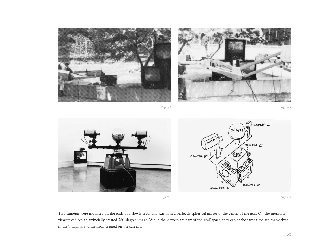



Figure 1 Figure 2



Figure 3 Figure 4 **Figure 4** 

Two cameras were mounted on the ends of a slowly revolving axis with a perfectly spherical mirror at the center of the axis. On the monitors, viewers can see an artificially created 360-degree image. While the viewers are part of the 'real' space, they can at the same time see themselves in the 'imaginary' dimension created on the screens.<sup>1</sup>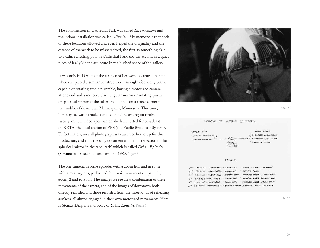The construction in Cathedral Park was called *Environment* and the indoor installation was called *Allvision*. My memory is that both of these locations allowed and even helped the originality and the essence of the work to be misperceived, the first as something akin to a calm reflecting pool in Cathedral Park and the second as a quiet piece of lazily kinetic sculpture in the hushed space of the gallery.

It was only in 1980, that the essence of her work became apparent when she placed a similar construction—an eight-foot-long plank capable of rotating atop a turntable, having a motorized camera at one end and a motorized rectangular mirror or rotating prism or spherical mirror at the other end outside on a street corner in the middle of downtown Minneapolis, Minnesota. This time, her purpose was to make a one-channel recording on twelve twenty-minute videotapes, which she later edited for broadcast on KETA, the local station of PBS (the Public Broadcast System). Unfortunately, no still photograph was taken of her setup for this production, and thus the only documentation is its reflection in the spherical mirror in the tape itself, which is called *Urban Episodes* (8 minutes, 45 seconds) and aired in 1980. Figure 5

The one camera, in some episodes with a zoom lens and in some with a rotating lens, performed four basic movements—pan, tilt, zoom, 2 and rotation. The images we see are a combination of these movements of the camera, and of the images of downtown both directly recorded and those recorded from the three kinds of reflecting surfaces, all always engaged in their own motorized movements. Here is Steina's Diagram and Score of *Urban Episodes.* Figure 6



Figure 5



Figure 6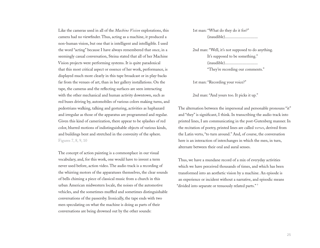Like the cameras used in all of the *Machine Vision* explorations, this camera had no viewfinder. Thus, acting as a machine, it produced a non-human vision, but one that is intelligent and intelligible. I used the word "acting" because I have always remembered that once, in a seemingly casual conversation, Steina stated that all of her Machine Vision projects were performing systems. It is quite paradoxical that this most critical aspect or essence of her work, performance, is displayed much more clearly in this tape broadcast or in play-backs far from the venues of art, than in her gallery installations. On the tape, the cameras and the reflecting surfaces are seen interacting with the other mechanical and human activity downtown, such as red buses driving by, automobiles of various colors making turns, and pedestrians walking, talking and gesturing, activities as haphazard and irregular as those of the apparatus are programmed and regular. Given this kind of camerization, there appear to be splashes of red color, blurred motions of indistinguishable objects of various kinds, and buildings bent and stretched in the convexity of the sphere. Figures 7, 8, 9, 10

The concept of action painting is a commonplace in our visual vocabulary, and, for this work, one would have to invent a term never used before, action video. The audio track is a recording of the whirring motors of the apparatuses themselves, the clear sounds of bells chiming a piece of classical music from a church in this urban American midwestern locale, the noises of the automotive vehicles, and the sometimes muffled and sometimes distinguishable conversations of the passersby. Ironically, the tape ends with two men speculating on what the machine is doing as parts of their conversations are being drowned out by the other sounds:

1st man: "What do they do it for?" (inaudible)................................

2nd man: "Well, it's not supposed to do anything. It's supposed to be something." (inaudible)................................ "They're recording our comments."

1st man: "Recording your voice?"

2nd man: "And yours too. It picks it up."

The alternation between the impersonal and personable pronouns "it" and "they" is significant, I think. In transcribing the audio track into printed lines, I am communicating in the post-Gutenberg manner. In the recitation of poetry, printed lines are called *verses*, derived from the Latin verto, "to turn around." And, of course, the conversation here is an interaction of interchanges in which the men, in turn, alternate between their oral and aural senses.

Thus, we have a mundane record of a mix of everyday activities which we have perceived thousands of times, and which has been transformed into an aesthetic vision by a machine. An episode is an experience or incident without a narrative, and episodic means "divided into separate or tenuously related parts."<sup>3</sup>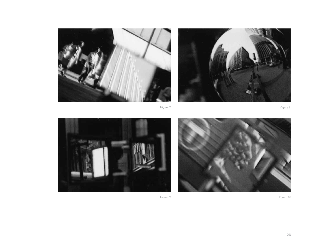



Figure 7

Figure 8







Figure 10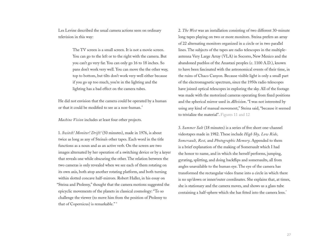Les Levine described the usual camera actions seen on ordinary television in this way:

> The TV screen is a small screen. It is not a movie screen. You can go to the left or to the right with the camera. But you can't go very far. You can only go 16 to 18 inches. So pans don't work very well. You can move the the other way, top to bottom, but tilts don't work very well either because if you go up too much, you're in the lighting and the lighting has a bad effect on the camera tubes.

He did not envision that the camera could be operated by a human or that it could be modified to see as a non-human.<sup>4</sup>

*Machine Vision* includes at least four other projects.

1. *Switch! Monitor! Drift!* (50 minutes), made in 1976, is about twice as long as any of Steina's other tapes. Each word in the title functions as a noun and as an active verb. On the screen are two images alternated by her operation of a switching device or by a keyer that reveals one while obscuring the other. The relation between the two cameras is only revealed when we see each of them rotating on its own axis, both atop another rotating platform, and both turning within slotted concave half-mirrors. Robert Haller, in his essay on "Steina and Ptolemy," thought that the camera motions suggested the epicyclic movements of the planets in classical cosmology: "To so challenge the viewer (to move him from the position of Ptolemy to that of Copernicus) is remarkable."<sup>5</sup>

2. *The West* was an installation consisting of two different 30-minute long tapes playing on two or more monitors. Steina prefers an array of 22 alternating monitors organized in a circle or in two parallel lines. The subjects of the tapes are radio telescopes in the multipleantenna Very Large Array (VLA) in Socorro, New Mexico and the abandoned pueblos of the Anastazi peoples (c. 1100 A.D.), known to have been fascinated with the astronomical events of their time, in the ruins of Chaco Canyon. Because visible light is only a small part of the electromagnetic spectrum, since the 1950s radio telescopes have joined optical telescopes in exploring the sky. All of the footage was made with the motorized cameras operating from fixed positions and the spherical mirror used in *Allvision*. "I was not interested by using any kind of manual movement," Steina said, "because it seemed to trivialize the material". Figures 11 and 12

3. *Summer Salt* (18 minutes) is a series of five short one-channel videotapes made in 1982. These include *High Sky, Low Ride, Somersault, Rest,* and *Photographic Memory*. Appended to them is a brief explanation of the making of Somersault which I had the honor to name, and in which she herself performs, jumping, gyrating, splitting, and doing backflips and somersaults, all from angles unavailable to the human eye. The eye of the camera has transformed the rectangular video frame into a circle in which there is no up/down or inner/outer coordinates. She explains that, at times, she is stationary and the camera moves, and shows us a glass tube containing a half-sphere which she has fitted into the camera lens.<sup>7</sup>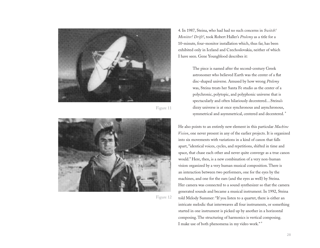

Figure 11



Figure 12

4. In 1987, Steina, who had had no such concerns in *Switch! Monitor! Drift!*, took Robert Haller's *Ptolemy* as a title for a 10-minute, four-monitor installation which, thus far, has been exhibited only in Iceland and Czechoslovakia, neither of which I have seen. Gene Youngblood describes it:

> The piece is named after the second-century Greek astronomer who believed Earth was the center of a flat disc-shaped universe. Amused by how wrong *Ptolemy* was, Steina treats her Santa Fe studio as the center of a polychronic, polytopic, and polyphonic universe that is spectacularly and often hilariously decentered....Steina's dizzy universe is at once synchronous and asynchronous, symmetrical and asymmetrical, centered and decentered.<sup>8</sup>

He also points to an entirely new element in this particular *Machine Vision*, one never present in any of the earlier projects. It is organized into six movements with variations in a kind of canon that falls apart, "identical voices, cycles, and repetitions, shifted in time and space, that chase each other and never quite converge as a true canon would." Here, then, is a new combination of a very non-human vision organized by a very human musical composition. There is an interaction between two performers, one for the eyes by the machines, and one for the ears (and the eyes as well) by Steina. Her camera was connected to a sound synthesizer so that the camera generated sounds and became a musical instrument. In 1992, Steina told Melody Summer: "If you listen to a quartet, there is either an intricate melodic that interweaves all four instruments, or something started in one instrument is picked up by another in a horizontal composing. The structuring of harmonics is vertical composing. I make use of both phenomena in my video work." <sup>9</sup>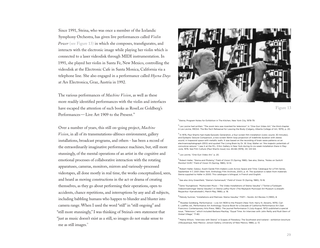Since 1991, Steina, who was once a member of the Icelandic Symphony Orchestra, has given live performances called *Violin Power* (see Figure 13) in which she composes, transfigurates, and interacts with the electronic image while playing her violin which is connected to a laser videodisk through MIDI instrumentation. In 1991, she played her violin in Santa Fe, New Mexico, controlling the videodisk at the Electronic Cafe in Santa Monica, California via a telephone line. She also engaged in a performance called *Hyena Days* at Ars Electronica, Graz, Austria in 1992.

The various performances of *Machine Vision*, as well as these more readily identified performances with the violin and interfaces have escaped the attention of such books as RoseLee Goldberg's Performances— Live Art 1909 to the Present.<sup>10</sup>

Over a number of years, this still on-going project, *Machine Vision*, in all of its transmutations-alfresco environment, gallery installations, broadcast programs, and others - has been a record of the extraordinarily imaginative performance machines, but, still more stunningly, of the mental operations of an artist in the cognitive and emotional processes of collaborative interaction with the rotating apparatuses, cameras, monitors, mirrors and variously-processed videotapes, all done mostly in real time, the works conceptualized, seen, and heard as moving constructions in the act or drama of creating themselves, as they go about performing their operations, open to accidents, chance repetitions, and interruptions by any and all subjects, including babbling humans who happen to blunder and bluster into camera range. When I used the word "still" in "still ongoing" and "still more stunningly," I was thinking of Steina's own statement that "just as music doesn't exist as a still, so images do not make sense to me as still images.<sup>11</sup>



Figure 13

<sup>1</sup> Steina, Program Notes for Exhibition in The Kitchen, New York City, 1978-79.

<sup>2</sup> Les Levine had written: "The zoom lens was invented for television" in "One-Gun Video Art," the third chapter in Les Levine, MEDIA: The Bio-Tech Rehearsal for Leaving the Body (Calgary, Alberta College of Art, 1979), p. 20.

 $3$  In 1976, Paul Sharits had made Episodic Generation, a four-screen film installation (color, sound, 30 minutes), and Epileptic Seizure Comparison, a two-screen 16mm loop projection of indefinite duration with stereo sound, in trapezoid space with metallic walls. It was based on the recording of brain wave patterns on an electroencephalograph (EEG) and quoted The Living Brain by Dr. W. Gray Walter on "the majestic potentials of convulsive seizure." I saw it at the M.L. D'Arc Gallery in New York during its six-week installation there in May-June, 1976. See Film Culture (Paul Sharits Issue) nos. 65-66 (1978), 121, 123-124.

### <sup>4</sup> Les Levine, "One-Gun Video Art," p. 20.

<sup>5</sup> Robert Haller, "Steina and Ptolemy," Field of Vision 13 (Spring, 1985). See also, Steina, "Notes on Switch! Monitor! Drift!," Field of Vision 13 (Spring, 1985), 12-14.

<sup>6</sup> Robert Haller, Galaxy: Avant-Garde Film-makers Look Across Space and Time: Catalogue for a Film Series, September 4-7, 2001 (New York: Anthology Film Archives, 2001), p. 41. The quotation is taken from materials Steina supplied to Haller in 2000. This catalogue is bilingual, in French and English.

<sup>7</sup> See also Amy Greenfield, "Steina's Somersault," Field of Vision 13 (Spring, 1985), 15-16.

<sup>8</sup> Gene Youngblood, "Multiscreen Music – The Video Installations of Steina Vasulka" ("Tonlist a Fjolskjam Videoinnsetningar Steina Vasulka") in Steina Leiftur Runir (The Reykjavik Municipal Art Museum (Listasafn Reyjavikur: Kjarvalsstadir), March-May, 1966), p. 18.

<sup>9</sup> Melody Sumner, "Installations and Matrixes: Steina Vasulka," FIKFI – Nordic Art Review 3 (1993), 8.

<sup>10</sup> Roselee Goldberg, Performance – Live Art 1909 to the Present (New York: Harry N. Abrams, 1979); Carl E. Loeffler, ed., Performance Art Anthology: Source Book for a Decade of California Performance Art (San Francisco: Contemporary Arts Press, 1980). The journal Performance 3 (July-August, 1972) published a special issue, "Television," which included Barbara MacKay, "Equal Time: An Interview with John Reilly and Rudi Stern of Global Village," 71-80.

<sup>11</sup> Malina Wilson, "Interview with Steina" in Scapes of Paradoxy: The Southwest and Iceland - exhibition brochure (Albuquerque, New Mexico: Jonson Gallery, University of New Mexico, 1986), p. 13.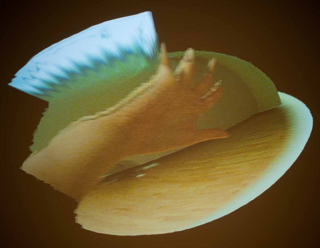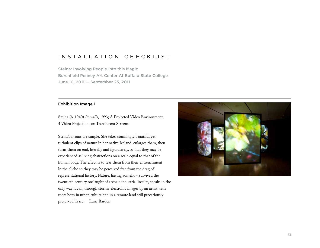# IN STALLATION CHECKLIST

Steina: Involving People Into this Magic Burchfield Penney Art Center At Buffalo State College June 10, 2011 — September 25, 2011

### Exhibition Image 1

Steina (b. 1940) *Borealis*, 1993; A Projected Video Environment; 4 Video Projections on Translucent Screens

Steina's means are simple. She takes stunningly beautiful yet turbulent clips of nature in her native Iceland, enlarges them, then turns them on end, literally and figuratively, so that they may be experienced as living abstractions on a scale equal to that of the human body. The effect is to tear them from their entrenchment in the cliché so they may be perceived free from the drag of representational history. Nature, having somehow survived the twentieth century onslaught of archaic industrial insults, speaks in the only way it can, through stormy electronic images by an artist with roots both in urban culture and in a remote land still precariously preserved in ice. —Lane Barden

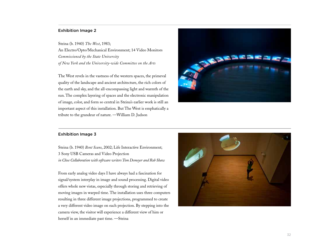Steina (b. 1940) *The West*, 1983; An Electro/Opto/Mechanical Environment; 14 Video Monitors *Commissioned by the State University of New York and the University-wide Committee on the Arts*

The West revels in the vastness of the western spaces, the primeval quality of the landscape and ancient architecture, the rich colors of the earth and sky, and the all-encompassing light and warmth of the sun. The complex layering of spaces and the electronic manipulation of image, color, and form so central in Steina's earlier work is still an important aspect of this installation. But The West is emphatically a tribute to the grandeur of nature. —William D. Judson



# Exhibition Image 3

Steina (b. 1940) *Bent Scans*, 2002; Life Interactive Environment; 3 Sony USB Cameras and Video Projection *in Close Collaboration with software writers Tom Demeyer and Rob Shaw*

From early analog video days I have always had a fascination for signal/system interplay in image and sound processing. Digital video offers whole new vistas, especially through storing and retrieving of moving images in warped time. The installation uses three computers resulting in three different image projections, programmed to create a very different video image on each projection. By stepping into the camera view, the visitor will experience a different view of him or herself in an immediate past time. —Steina

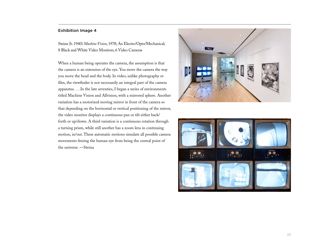Steina (b. 1940) *Machine Vision*, 1978; An Electro/Opto/Mechanical; 8 Black and White Video Monitors, 6 Video Cameras

When a human being operates the camera, the assumption is that the camera is an extension of the eye. You move the camera the way you move the head and the body. In video, unlike photography or film, the viewfinder is not necessarily an integral part of the camera apparatus. . . .In the late seventies, I began a series of environments titled Machine Vision and Allvision, with a mirrored sphere. Another variation has a motorized moving mirror in front of the camera so that depending on the horizontal or vertical positioning of the mirror, the video monitor displays a continuous pan or tilt either back/ forth or up/down. A third variation is a continuous rotation through a turning prism, while still another has a zoom lens in continuing motion, in/out. These automatic motions simulate all possible camera movements freeing the human eye from being the central point of the universe. —Steina



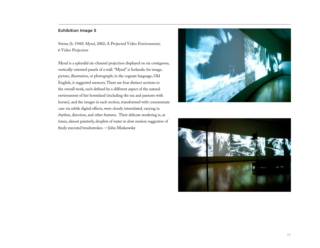Steina (b. 1940) *Mynd*, 2002; A Projected Video Environment; 6 Video Projectors

Mynd is a splendid six-channel projection displayed on six contiguous, vertically-oriented panels of a wall. "Mynd" is Icelandic for image, picture, illustration, or photograph; in the cognate language, Old English, it suggested memory. There are four distinct sections to the overall work, each defined by a different aspect of the natural environment of her homeland (including the sea and pastures with horses), and the images in each section, transformed with consummate care via subtle digital effects, were closely interrelated, varying in rhythm, direction, and other features. Their delicate rendering is, at times, almost painterly, droplets of water in slow motion suggestive of finely executed brushstrokes. —John Minkowsky



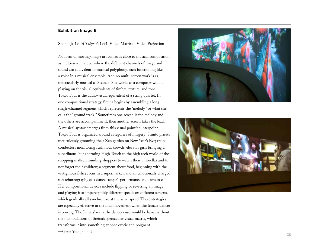Steina (b. 1940) *Tokyo 4*, 1991; Video Matrix; 4 Video Projection

No form of moving-image art comes as close to musical composition as multi-screen video, where the different channels of image and sound are equivalent to musical polyphony, each functioning like a voice in a musical ensemble. And no multi-screen work is as spectacularly musical as Steina's. She works as a composer would, playing on the visual equivalents of timbre, texture, and tone. Tokyo Four is the audio-visual equivalent of a string quartet. In one compositional strategy, Steina begins by assembling a long single-channel segment which represents the "melody," or what she calls the "ground track." Sometimes one screen is the melody and the others are accompaniment, then another screen takes the lead. A musical syntax emerges from this visual point/counterpoint. . . . Tokyo Four is organized around categories of imagery: Shinto priests meticulously grooming their Zen garden on New Year's Eve; train conductors monitoring rush hour crowds; elevator girls bringing a superfluous, but charming High Touch to the high tech world of the shopping malls, reminding shoppers to watch their umbrellas and to not forget their children; a segment about food, beginning with the vertiginous fisheye lens in a supermarket; and an emotionally charged metachoreography of a dance troupe's performance and curtain call. Her compositional devices include flipping or reversing an image and playing it at imperceptibly different speeds on different screens, which gradually all synchronize at the same speed. These strategies are especially effective in the final movement when the female dancer is bowing. The Lehars' waltz the dancers use would be banal without the manipulations of Steina's spectacular visual matrix, which transforms it into something at once exotic and poignant.



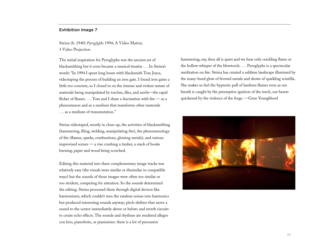Steina (b. 1940) *Pyroglyphs* 1994; A Video Matrix; 3 Video Projection

The initial inspiration for Pyroglyphs was the ancient art of blacksmithing but it soon became a musical treatise . . . In Steina's words: "In 1994 I spent long hours with blacksmith Tom Joyce, videotaping the process of building an iron gate. I found iron gates a little too concrete, so I closed in on the intense and violent nature of materials being manipulated by torches, files, and anvils—the rapid flicker of flames. . . . Tom and I share a fascination with fire — as a phenomenon and as a medium that transforms other materials . . . as a medium of transmutation."

Steina videotaped, mostly in close-up, the activities of blacksmithing (hammering, filing, welding, manipulating fire), the phenomenology of fire (flames, sparks, combustions, glowing metals), and various improvised scenes — a vise crushing a timber, a stack of books burning, paper and wood being scorched.

Editing this material into three complementary image tracks was relatively easy (the visuals were similar or dissimilar in compatible ways) but the sounds of those images were often too similar or too strident, competing for attention. So the sounds determined the editing. Steina processed them through digital devices like harmonizers, which couldn't turn the random noises into harmonics but produced interesting sounds anyway; pitch shifters that move a sound to the octave immediately above or below; and reverb circuits to create echo effects. The sounds and rhythms are rendered allegro con brio, pianoforte, or pianissimo: there is a lot of percussive

hammering, say, then all is quiet and we hear only crackling flame or the hollow whisper of the blowtorch. . . . Pyroglyphs is a spectacular meditation on fire. Steina has created a sublime landscape illumined by the many-hued glow of fevered metals and shows of sparkling scintilla. She makes us feel the hypnotic pull of lambent flames even as our breath is caught by the preemptive ignition of the torch, our hearts quickened by the violence of the forge. —Gene Youngblood